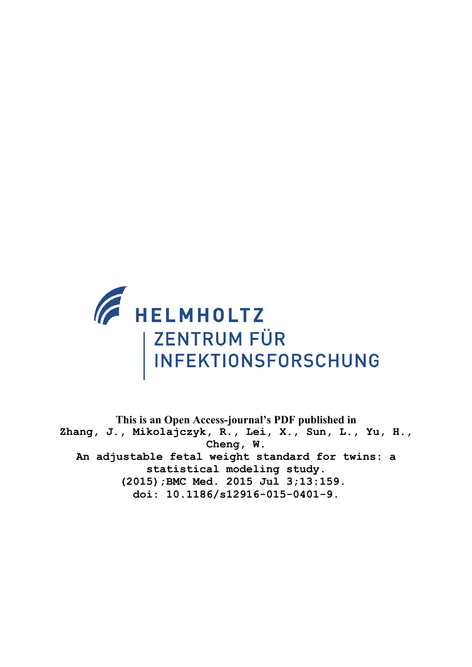

**This is an Open Access-journal's PDF published in Zhang, J., Mikolajczyk, R., Lei, X., Sun, L., Yu, H., Cheng, W. An adjustable fetal weight standard for twins: a statistical modeling study. (2015);BMC Med. 2015 Jul 3;13:159. doi: 10.1186/s12916-015-0401-9.**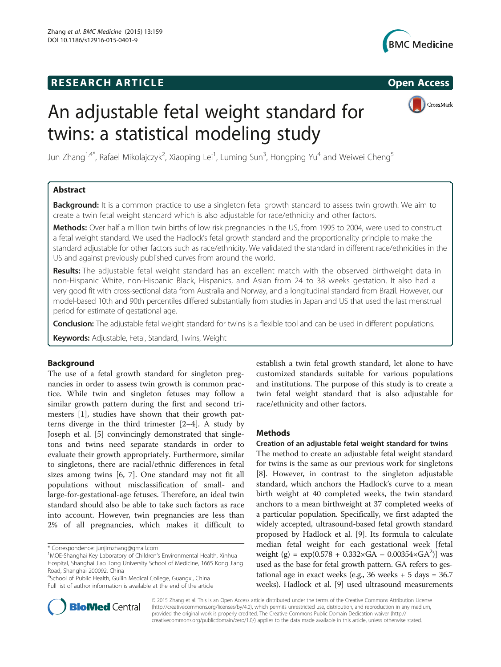## **RESEARCH ARTICLE Example 2014 CONSIDERING CONSIDERING CONSIDERING CONSIDERING CONSIDERING CONSIDERING CONSIDERING CONSIDERING CONSIDERING CONSIDERING CONSIDERING CONSIDERING CONSIDERING CONSIDERING CONSIDERING CONSIDE**



# An adjustable fetal weight standard for twins: a statistical modeling study

CrossMark

Jun Zhang $^{1,4^{\ast}}$ , Rafael Mikolajczyk $^2$ , Xiaoping Lei $^1$ , Luming Sun $^3$ , Hongping Yu $^4$  and Weiwei Cheng $^5$ 

## Abstract

**Background:** It is a common practice to use a singleton fetal growth standard to assess twin growth. We aim to create a twin fetal weight standard which is also adjustable for race/ethnicity and other factors.

Methods: Over half a million twin births of low risk pregnancies in the US, from 1995 to 2004, were used to construct a fetal weight standard. We used the Hadlock's fetal growth standard and the proportionality principle to make the standard adjustable for other factors such as race/ethnicity. We validated the standard in different race/ethnicities in the US and against previously published curves from around the world.

Results: The adjustable fetal weight standard has an excellent match with the observed birthweight data in non-Hispanic White, non-Hispanic Black, Hispanics, and Asian from 24 to 38 weeks gestation. It also had a very good fit with cross-sectional data from Australia and Norway, and a longitudinal standard from Brazil. However, our model-based 10th and 90th percentiles differed substantially from studies in Japan and US that used the last menstrual period for estimate of gestational age.

**Conclusion:** The adjustable fetal weight standard for twins is a flexible tool and can be used in different populations.

Keywords: Adjustable, Fetal, Standard, Twins, Weight

## **Background**

The use of a fetal growth standard for singleton pregnancies in order to assess twin growth is common practice. While twin and singleton fetuses may follow a similar growth pattern during the first and second trimesters [1], studies have shown that their growth patterns diverge in the third trimester [2–4]. A study by Joseph et al. [5] convincingly demonstrated that singletons and twins need separate standards in order to evaluate their growth appropriately. Furthermore, similar to singletons, there are racial/ethnic differences in fetal sizes among twins [6, 7]. One standard may not fit all populations without misclassification of small- and large-for-gestational-age fetuses. Therefore, an ideal twin standard should also be able to take such factors as race into account. However, twin pregnancies are less than 2% of all pregnancies, which makes it difficult to

\* Correspondence: [junjimzhang@gmail.com](mailto:junjimzhang@gmail.com) <sup>1</sup>



## Methods

Creation of an adjustable fetal weight standard for twins

The method to create an adjustable fetal weight standard for twins is the same as our previous work for singletons [8]. However, in contrast to the singleton adjustable standard, which anchors the Hadlock's curve to a mean birth weight at 40 completed weeks, the twin standard anchors to a mean birthweight at 37 completed weeks of a particular population. Specifically, we first adapted the widely accepted, ultrasound-based fetal growth standard proposed by Hadlock et al. [9]. Its formula to calculate median fetal weight for each gestational week [fetal weight (g) =  $exp(0.578 + 0.332 \times GA - 0.00354 \times GA^2)]$  was used as the base for fetal growth pattern. GA refers to gestational age in exact weeks (e.g., 36 weeks + 5 days = 36.7 weeks). Hadlock et al. [9] used ultrasound measurements



© 2015 Zhang et al. This is an Open Access article distributed under the terms of the Creative Commons Attribution License [\(http://creativecommons.org/licenses/by/4.0\)](http://creativecommons.org/licenses/by/4.0), which permits unrestricted use, distribution, and reproduction in any medium, provided the original work is properly credited. The Creative Commons Public Domain Dedication waiver [\(http://](http://creativecommons.org/publicdomain/zero/1.0/) [creativecommons.org/publicdomain/zero/1.0/\)](http://creativecommons.org/publicdomain/zero/1.0/) applies to the data made available in this article, unless otherwise stated.

<sup>&</sup>lt;sup>1</sup>MOE-Shanghai Key Laboratory of Children's Environmental Health, Xinhua Hospital, Shanghai Jiao Tong University School of Medicine, 1665 Kong Jiang Road, Shanghai 200092, China

<sup>4</sup> School of Public Health, Guilin Medical College, Guangxi, China Full list of author information is available at the end of the article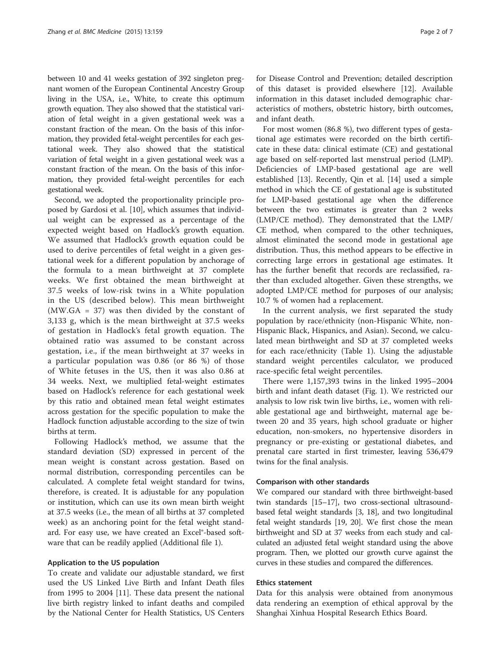between 10 and 41 weeks gestation of 392 singleton pregnant women of the European Continental Ancestry Group living in the USA, i.e., White, to create this optimum growth equation. They also showed that the statistical variation of fetal weight in a given gestational week was a constant fraction of the mean. On the basis of this information, they provided fetal-weight percentiles for each gestational week. They also showed that the statistical variation of fetal weight in a given gestational week was a constant fraction of the mean. On the basis of this information, they provided fetal-weight percentiles for each gestational week.

Second, we adopted the proportionality principle proposed by Gardosi et al. [10], which assumes that individual weight can be expressed as a percentage of the expected weight based on Hadlock's growth equation. We assumed that Hadlock's growth equation could be used to derive percentiles of fetal weight in a given gestational week for a different population by anchorage of the formula to a mean birthweight at 37 complete weeks. We first obtained the mean birthweight at 37.5 weeks of low-risk twins in a White population in the US (described below). This mean birthweight (MW.GA = 37) was then divided by the constant of 3,133 g, which is the mean birthweight at 37.5 weeks of gestation in Hadlock's fetal growth equation. The obtained ratio was assumed to be constant across gestation, i.e., if the mean birthweight at 37 weeks in a particular population was 0.86 (or 86 %) of those of White fetuses in the US, then it was also 0.86 at 34 weeks. Next, we multiplied fetal-weight estimates based on Hadlock's reference for each gestational week by this ratio and obtained mean fetal weight estimates across gestation for the specific population to make the Hadlock function adjustable according to the size of twin births at term.

Following Hadlock's method, we assume that the standard deviation (SD) expressed in percent of the mean weight is constant across gestation. Based on normal distribution, corresponding percentiles can be calculated. A complete fetal weight standard for twins, therefore, is created. It is adjustable for any population or institution, which can use its own mean birth weight at 37.5 weeks (i.e., the mean of all births at 37 completed week) as an anchoring point for the fetal weight standard. For easy use, we have created an Excel®-based software that can be readily applied (Additional file 1).

#### Application to the US population

To create and validate our adjustable standard, we first used the US Linked Live Birth and Infant Death files from 1995 to 2004 [11]. These data present the national live birth registry linked to infant deaths and compiled by the National Center for Health Statistics, US Centers for Disease Control and Prevention; detailed description of this dataset is provided elsewhere [12]. Available information in this dataset included demographic characteristics of mothers, obstetric history, birth outcomes, and infant death.

For most women (86.8 %), two different types of gestational age estimates were recorded on the birth certificate in these data: clinical estimate (CE) and gestational age based on self-reported last menstrual period (LMP). Deficiencies of LMP-based gestational age are well established [13]. Recently, Qin et al. [14] used a simple method in which the CE of gestational age is substituted for LMP-based gestational age when the difference between the two estimates is greater than 2 weeks (LMP/CE method). They demonstrated that the LMP/ CE method, when compared to the other techniques, almost eliminated the second mode in gestational age distribution. Thus, this method appears to be effective in correcting large errors in gestational age estimates. It has the further benefit that records are reclassified, rather than excluded altogether. Given these strengths, we adopted LMP/CE method for purposes of our analysis; 10.7 % of women had a replacement.

In the current analysis, we first separated the study population by race/ethnicity (non-Hispanic White, non-Hispanic Black, Hispanics, and Asian). Second, we calculated mean birthweight and SD at 37 completed weeks for each race/ethnicity (Table 1). Using the adjustable standard weight percentiles calculator, we produced race-specific fetal weight percentiles.

There were 1,157,393 twins in the linked 1995–2004 birth and infant death dataset (Fig. 1). We restricted our analysis to low risk twin live births, i.e., women with reliable gestational age and birthweight, maternal age between 20 and 35 years, high school graduate or higher education, non-smokers, no hypertensive disorders in pregnancy or pre-existing or gestational diabetes, and prenatal care started in first trimester, leaving 536,479 twins for the final analysis.

#### Comparison with other standards

We compared our standard with three birthweight-based twin standards [15–17], two cross-sectional ultrasoundbased fetal weight standards [3, 18], and two longitudinal fetal weight standards [19, 20]. We first chose the mean birthweight and SD at 37 weeks from each study and calculated an adjusted fetal weight standard using the above program. Then, we plotted our growth curve against the curves in these studies and compared the differences.

#### Ethics statement

Data for this analysis were obtained from anonymous data rendering an exemption of ethical approval by the Shanghai Xinhua Hospital Research Ethics Board.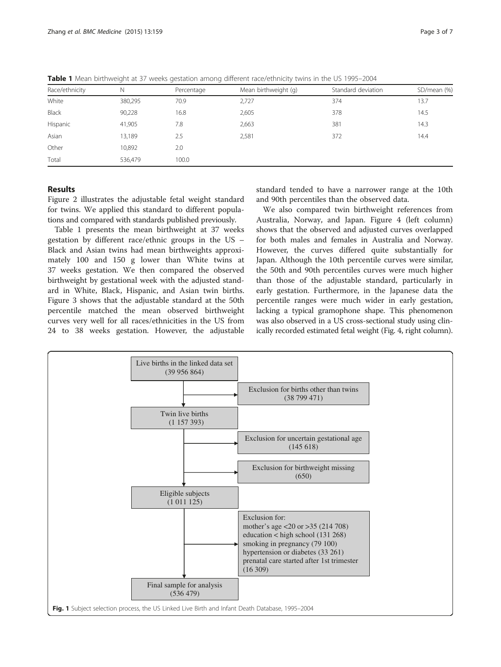| Race/ethnicity | N.      | Percentage | Mean birthweight (g) | Standard deviation | SD/mean (%) |
|----------------|---------|------------|----------------------|--------------------|-------------|
| White          | 380,295 | 70.9       | 2,727                | 374                | 13.7        |
| Black          | 90,228  | 16.8       | 2,605                | 378                | 14.5        |
| Hispanic       | 41,905  | 7.8        | 2,663                | 381                | 14.3        |
| Asian          | 13,189  | 2.5        | 2,581                | 372                | 14.4        |
| Other          | 10,892  | 2.0        |                      |                    |             |
| Total          | 536,479 | 100.0      |                      |                    |             |

Table 1 Mean birthweight at 37 weeks gestation among different race/ethnicity twins in the US 1995–2004

## Results

Figure 2 illustrates the adjustable fetal weight standard for twins. We applied this standard to different populations and compared with standards published previously.

Table 1 presents the mean birthweight at 37 weeks gestation by different race/ethnic groups in the US – Black and Asian twins had mean birthweights approximately 100 and 150 g lower than White twins at 37 weeks gestation. We then compared the observed birthweight by gestational week with the adjusted standard in White, Black, Hispanic, and Asian twin births. Figure 3 shows that the adjustable standard at the 50th percentile matched the mean observed birthweight curves very well for all races/ethnicities in the US from 24 to 38 weeks gestation. However, the adjustable

standard tended to have a narrower range at the 10th and 90th percentiles than the observed data.

We also compared twin birthweight references from Australia, Norway, and Japan. Figure 4 (left column) shows that the observed and adjusted curves overlapped for both males and females in Australia and Norway. However, the curves differed quite substantially for Japan. Although the 10th percentile curves were similar, the 50th and 90th percentiles curves were much higher than those of the adjustable standard, particularly in early gestation. Furthermore, in the Japanese data the percentile ranges were much wider in early gestation, lacking a typical gramophone shape. This phenomenon was also observed in a US cross-sectional study using clinically recorded estimated fetal weight (Fig. 4, right column).

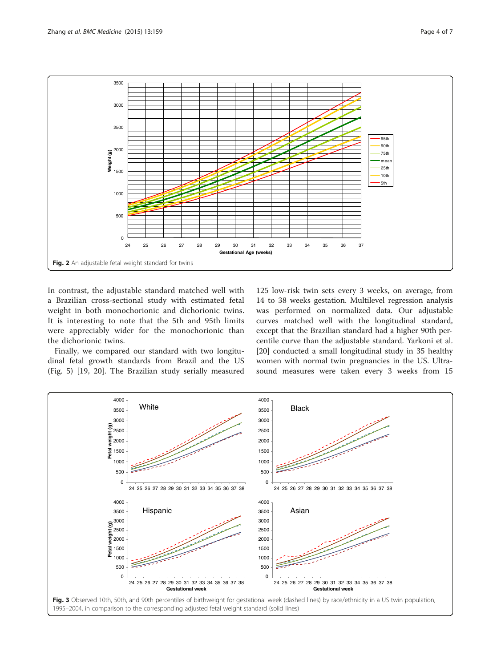

In contrast, the adjustable standard matched well with a Brazilian cross-sectional study with estimated fetal weight in both monochorionic and dichorionic twins. It is interesting to note that the 5th and 95th limits were appreciably wider for the monochorionic than the dichorionic twins.

Finally, we compared our standard with two longitudinal fetal growth standards from Brazil and the US (Fig. 5) [19, 20]. The Brazilian study serially measured

125 low-risk twin sets every 3 weeks, on average, from 14 to 38 weeks gestation. Multilevel regression analysis was performed on normalized data. Our adjustable curves matched well with the longitudinal standard, except that the Brazilian standard had a higher 90th percentile curve than the adjustable standard. Yarkoni et al. [20] conducted a small longitudinal study in 35 healthy women with normal twin pregnancies in the US. Ultrasound measures were taken every 3 weeks from 15

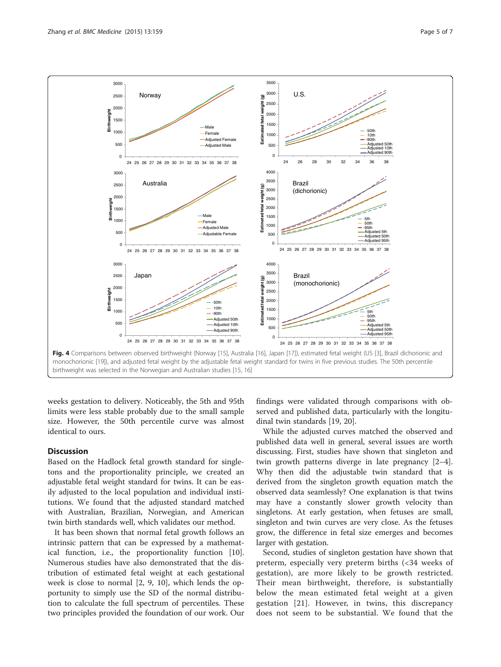

weeks gestation to delivery. Noticeably, the 5th and 95th limits were less stable probably due to the small sample size. However, the 50th percentile curve was almost identical to ours.

## **Discussion**

Based on the Hadlock fetal growth standard for singletons and the proportionality principle, we created an adjustable fetal weight standard for twins. It can be easily adjusted to the local population and individual institutions. We found that the adjusted standard matched with Australian, Brazilian, Norwegian, and American twin birth standards well, which validates our method.

It has been shown that normal fetal growth follows an intrinsic pattern that can be expressed by a mathematical function, i.e., the proportionality function [10]. Numerous studies have also demonstrated that the distribution of estimated fetal weight at each gestational week is close to normal [2, 9, 10], which lends the opportunity to simply use the SD of the normal distribution to calculate the full spectrum of percentiles. These two principles provided the foundation of our work. Our findings were validated through comparisons with observed and published data, particularly with the longitudinal twin standards [19, 20].

While the adjusted curves matched the observed and published data well in general, several issues are worth discussing. First, studies have shown that singleton and twin growth patterns diverge in late pregnancy [2–4]. Why then did the adjustable twin standard that is derived from the singleton growth equation match the observed data seamlessly? One explanation is that twins may have a constantly slower growth velocity than singletons. At early gestation, when fetuses are small, singleton and twin curves are very close. As the fetuses grow, the difference in fetal size emerges and becomes larger with gestation.

Second, studies of singleton gestation have shown that preterm, especially very preterm births (<34 weeks of gestation), are more likely to be growth restricted. Their mean birthweight, therefore, is substantially below the mean estimated fetal weight at a given gestation [21]. However, in twins, this discrepancy does not seem to be substantial. We found that the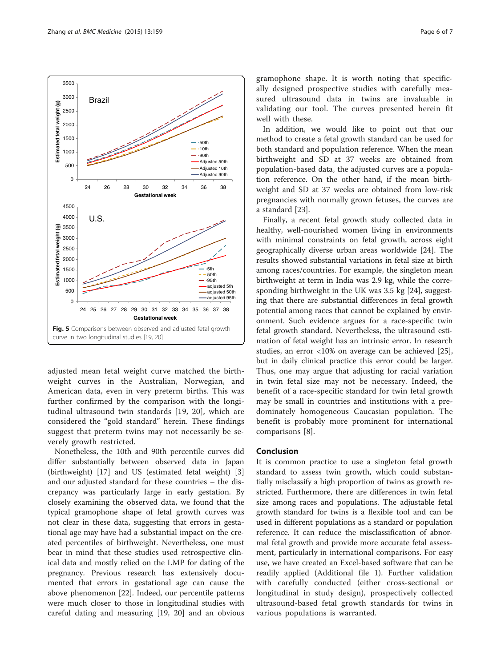

adjusted mean fetal weight curve matched the birthweight curves in the Australian, Norwegian, and American data, even in very preterm births. This was further confirmed by the comparison with the longitudinal ultrasound twin standards [19, 20], which are considered the "gold standard" herein. These findings suggest that preterm twins may not necessarily be severely growth restricted.

Nonetheless, the 10th and 90th percentile curves did differ substantially between observed data in Japan (birthweight) [17] and US (estimated fetal weight) [3] and our adjusted standard for these countries – the discrepancy was particularly large in early gestation. By closely examining the observed data, we found that the typical gramophone shape of fetal growth curves was not clear in these data, suggesting that errors in gestational age may have had a substantial impact on the created percentiles of birthweight. Nevertheless, one must bear in mind that these studies used retrospective clinical data and mostly relied on the LMP for dating of the pregnancy. Previous research has extensively documented that errors in gestational age can cause the above phenomenon [22]. Indeed, our percentile patterns were much closer to those in longitudinal studies with careful dating and measuring [19, 20] and an obvious gramophone shape. It is worth noting that specifically designed prospective studies with carefully measured ultrasound data in twins are invaluable in validating our tool. The curves presented herein fit well with these.

In addition, we would like to point out that our method to create a fetal growth standard can be used for both standard and population reference. When the mean birthweight and SD at 37 weeks are obtained from population-based data, the adjusted curves are a population reference. On the other hand, if the mean birthweight and SD at 37 weeks are obtained from low-risk pregnancies with normally grown fetuses, the curves are a standard [23].

Finally, a recent fetal growth study collected data in healthy, well-nourished women living in environments with minimal constraints on fetal growth, across eight geographically diverse urban areas worldwide [24]. The results showed substantial variations in fetal size at birth among races/countries. For example, the singleton mean birthweight at term in India was 2.9 kg, while the corresponding birthweight in the UK was 3.5 kg [24], suggesting that there are substantial differences in fetal growth potential among races that cannot be explained by environment. Such evidence argues for a race-specific twin fetal growth standard. Nevertheless, the ultrasound estimation of fetal weight has an intrinsic error. In research studies, an error <10% on average can be achieved [25], but in daily clinical practice this error could be larger. Thus, one may argue that adjusting for racial variation in twin fetal size may not be necessary. Indeed, the benefit of a race-specific standard for twin fetal growth may be small in countries and institutions with a predominately homogeneous Caucasian population. The benefit is probably more prominent for international comparisons [8].

## Conclusion

It is common practice to use a singleton fetal growth standard to assess twin growth, which could substantially misclassify a high proportion of twins as growth restricted. Furthermore, there are differences in twin fetal size among races and populations. The adjustable fetal growth standard for twins is a flexible tool and can be used in different populations as a standard or population reference. It can reduce the misclassification of abnormal fetal growth and provide more accurate fetal assessment, particularly in international comparisons. For easy use, we have created an Excel-based software that can be readily applied (Additional file 1). Further validation with carefully conducted (either cross-sectional or longitudinal in study design), prospectively collected ultrasound-based fetal growth standards for twins in various populations is warranted.